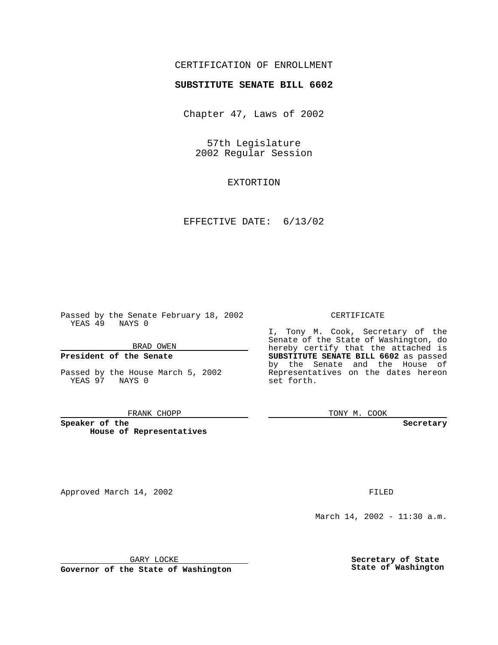# CERTIFICATION OF ENROLLMENT

# **SUBSTITUTE SENATE BILL 6602**

Chapter 47, Laws of 2002

57th Legislature 2002 Regular Session

EXTORTION

EFFECTIVE DATE: 6/13/02

Passed by the Senate February 18, 2002 YEAS 49 NAYS 0

BRAD OWEN

### **President of the Senate**

Passed by the House March 5, 2002 YEAS 97 NAYS 0

#### FRANK CHOPP

**Speaker of the House of Representatives**

Approved March 14, 2002 **FILED** 

#### CERTIFICATE

I, Tony M. Cook, Secretary of the Senate of the State of Washington, do hereby certify that the attached is **SUBSTITUTE SENATE BILL 6602** as passed by the Senate and the House of Representatives on the dates hereon set forth.

TONY M. COOK

**Secretary**

March 14, 2002 - 11:30 a.m.

GARY LOCKE

**Governor of the State of Washington**

**Secretary of State State of Washington**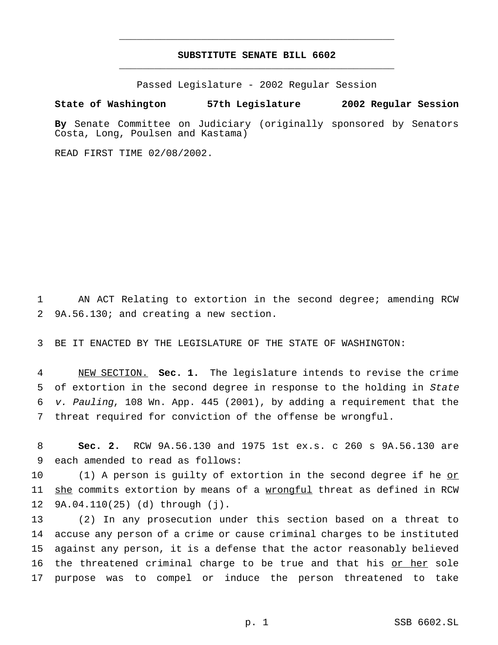# **SUBSTITUTE SENATE BILL 6602** \_\_\_\_\_\_\_\_\_\_\_\_\_\_\_\_\_\_\_\_\_\_\_\_\_\_\_\_\_\_\_\_\_\_\_\_\_\_\_\_\_\_\_\_\_\_\_

\_\_\_\_\_\_\_\_\_\_\_\_\_\_\_\_\_\_\_\_\_\_\_\_\_\_\_\_\_\_\_\_\_\_\_\_\_\_\_\_\_\_\_\_\_\_\_

Passed Legislature - 2002 Regular Session

### **State of Washington 57th Legislature 2002 Regular Session**

**By** Senate Committee on Judiciary (originally sponsored by Senators Costa, Long, Poulsen and Kastama)

READ FIRST TIME 02/08/2002.

1 AN ACT Relating to extortion in the second degree; amending RCW 2 9A.56.130; and creating a new section.

3 BE IT ENACTED BY THE LEGISLATURE OF THE STATE OF WASHINGTON:

 NEW SECTION. **Sec. 1.** The legislature intends to revise the crime 5 of extortion in the second degree in response to the holding in State v. Pauling, 108 Wn. App. 445 (2001), by adding a requirement that the threat required for conviction of the offense be wrongful.

8 **Sec. 2.** RCW 9A.56.130 and 1975 1st ex.s. c 260 s 9A.56.130 are 9 each amended to read as follows:

10 (1) A person is guilty of extortion in the second degree if he or 11 she commits extortion by means of a wrongful threat as defined in RCW 12 9A.04.110(25) (d) through (j).

 (2) In any prosecution under this section based on a threat to accuse any person of a crime or cause criminal charges to be instituted against any person, it is a defense that the actor reasonably believed 16 the threatened criminal charge to be true and that his or her sole purpose was to compel or induce the person threatened to take